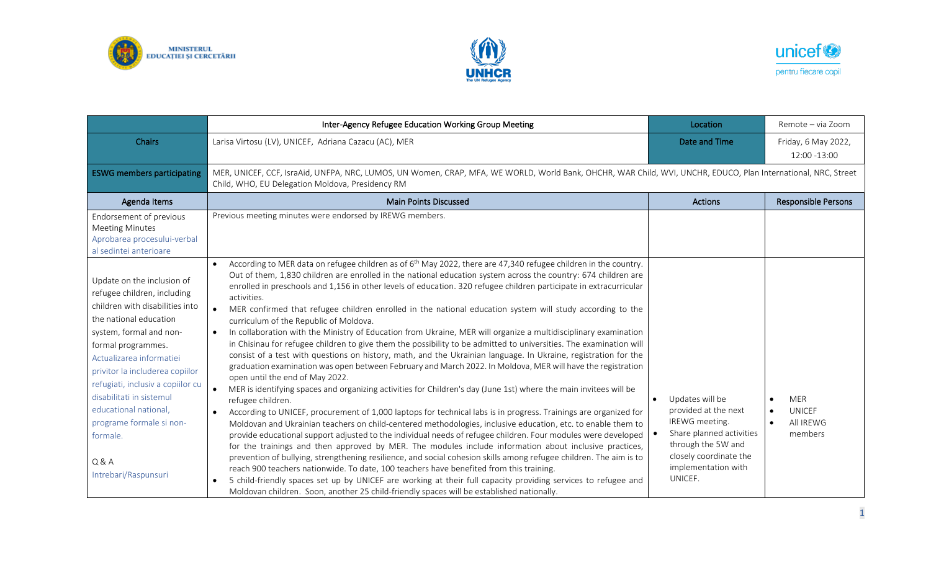





|                                                                                                                                                                                                                                                                                                                                                                                                         | Inter-Agency Refugee Education Working Group Meeting                                                                                                                                                                                                                                                                                                                                                                                                                                                                                                                                                                                                                                                                                                                                                                                                                                                                                                                                                                                                                                                                                                                                                                                                                                                                                                                                                                                                                                                                                                                                                                                                                                                                                                                                                                                                                                                                                                                                                                                                                                                                                                   | Location                                                                                                                                                                             | Remote - via Zoom                                         |  |
|---------------------------------------------------------------------------------------------------------------------------------------------------------------------------------------------------------------------------------------------------------------------------------------------------------------------------------------------------------------------------------------------------------|--------------------------------------------------------------------------------------------------------------------------------------------------------------------------------------------------------------------------------------------------------------------------------------------------------------------------------------------------------------------------------------------------------------------------------------------------------------------------------------------------------------------------------------------------------------------------------------------------------------------------------------------------------------------------------------------------------------------------------------------------------------------------------------------------------------------------------------------------------------------------------------------------------------------------------------------------------------------------------------------------------------------------------------------------------------------------------------------------------------------------------------------------------------------------------------------------------------------------------------------------------------------------------------------------------------------------------------------------------------------------------------------------------------------------------------------------------------------------------------------------------------------------------------------------------------------------------------------------------------------------------------------------------------------------------------------------------------------------------------------------------------------------------------------------------------------------------------------------------------------------------------------------------------------------------------------------------------------------------------------------------------------------------------------------------------------------------------------------------------------------------------------------------|--------------------------------------------------------------------------------------------------------------------------------------------------------------------------------------|-----------------------------------------------------------|--|
| <b>Chairs</b>                                                                                                                                                                                                                                                                                                                                                                                           | Larisa Virtosu (LV), UNICEF, Adriana Cazacu (AC), MER                                                                                                                                                                                                                                                                                                                                                                                                                                                                                                                                                                                                                                                                                                                                                                                                                                                                                                                                                                                                                                                                                                                                                                                                                                                                                                                                                                                                                                                                                                                                                                                                                                                                                                                                                                                                                                                                                                                                                                                                                                                                                                  | Date and Time                                                                                                                                                                        | Friday, 6 May 2022,<br>12:00 -13:00                       |  |
| <b>ESWG members participating</b>                                                                                                                                                                                                                                                                                                                                                                       | MER, UNICEF, CCF, IsraAid, UNFPA, NRC, LUMOS, UN Women, CRAP, MFA, WE WORLD, World Bank, OHCHR, WAR Child, WVI, UNCHR, EDUCO, Plan International, NRC, Street<br>Child, WHO, EU Delegation Moldova, Presidency RM                                                                                                                                                                                                                                                                                                                                                                                                                                                                                                                                                                                                                                                                                                                                                                                                                                                                                                                                                                                                                                                                                                                                                                                                                                                                                                                                                                                                                                                                                                                                                                                                                                                                                                                                                                                                                                                                                                                                      |                                                                                                                                                                                      |                                                           |  |
| Agenda Items                                                                                                                                                                                                                                                                                                                                                                                            | <b>Main Points Discussed</b>                                                                                                                                                                                                                                                                                                                                                                                                                                                                                                                                                                                                                                                                                                                                                                                                                                                                                                                                                                                                                                                                                                                                                                                                                                                                                                                                                                                                                                                                                                                                                                                                                                                                                                                                                                                                                                                                                                                                                                                                                                                                                                                           | <b>Actions</b>                                                                                                                                                                       | <b>Responsible Persons</b>                                |  |
| Endorsement of previous<br><b>Meeting Minutes</b><br>Aprobarea procesului-verbal<br>al sedintei anterioare                                                                                                                                                                                                                                                                                              | Previous meeting minutes were endorsed by IREWG members.                                                                                                                                                                                                                                                                                                                                                                                                                                                                                                                                                                                                                                                                                                                                                                                                                                                                                                                                                                                                                                                                                                                                                                                                                                                                                                                                                                                                                                                                                                                                                                                                                                                                                                                                                                                                                                                                                                                                                                                                                                                                                               |                                                                                                                                                                                      |                                                           |  |
| Update on the inclusion of<br>refugee children, including<br>children with disabilities into<br>the national education<br>system, formal and non-<br>formal programmes.<br>Actualizarea informatiei<br>privitor la includerea copiilor<br>refugiati, inclusiv a copiilor cu<br>disabilitati in sistemul<br>educational national,<br>programe formale si non-<br>formale.<br>Q&A<br>Intrebari/Raspunsuri | According to MER data on refugee children as of $6th$ May 2022, there are 47,340 refugee children in the country.<br>Out of them, 1,830 children are enrolled in the national education system across the country: 674 children are<br>enrolled in preschools and 1,156 in other levels of education. 320 refugee children participate in extracurricular<br>activities.<br>$\bullet$<br>MER confirmed that refugee children enrolled in the national education system will study according to the<br>curriculum of the Republic of Moldova.<br>In collaboration with the Ministry of Education from Ukraine, MER will organize a multidisciplinary examination<br>$\bullet$<br>in Chisinau for refugee children to give them the possibility to be admitted to universities. The examination will<br>consist of a test with questions on history, math, and the Ukrainian language. In Ukraine, registration for the<br>graduation examination was open between February and March 2022. In Moldova, MER will have the registration<br>open until the end of May 2022.<br>$\bullet$<br>MER is identifying spaces and organizing activities for Children's day (June 1st) where the main invitees will be<br>refugee children.<br>According to UNICEF, procurement of 1,000 laptops for technical labs is in progress. Trainings are organized for<br>$\bullet$<br>Moldovan and Ukrainian teachers on child-centered methodologies, inclusive education, etc. to enable them to<br>provide educational support adjusted to the individual needs of refugee children. Four modules were developed<br>for the trainings and then approved by MER. The modules include information about inclusive practices,<br>prevention of bullying, strengthening resilience, and social cohesion skills among refugee children. The aim is to<br>reach 900 teachers nationwide. To date, 100 teachers have benefited from this training.<br>5 child-friendly spaces set up by UNICEF are working at their full capacity providing services to refugee and<br>$\bullet$<br>Moldovan children. Soon, another 25 child-friendly spaces will be established nationally. | Updates will be<br>$\bullet$<br>provided at the next<br>IREWG meeting.<br>Share planned activities<br>through the 5W and<br>closely coordinate the<br>implementation with<br>UNICEF. | <b>MER</b><br>UNICEF<br>$\bullet$<br>All IREWG<br>members |  |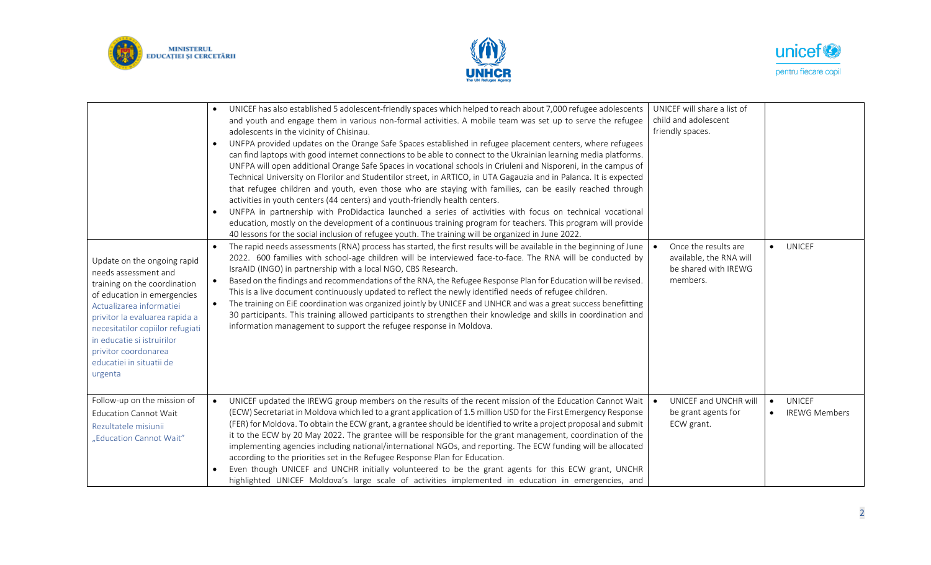





| Update on the ongoing rapid<br>needs assessment and<br>training on the coordination<br>of education in emergencies<br>Actualizarea informatiei<br>privitor la evaluarea rapida a<br>necesitatilor copiilor refugiati<br>in educatie si istruirilor<br>privitor coordonarea<br>educatiei in situatii de<br>urgenta | UNICEF has also established 5 adolescent-friendly spaces which helped to reach about 7,000 refugee adolescents<br>$\bullet$<br>and youth and engage them in various non-formal activities. A mobile team was set up to serve the refugee<br>adolescents in the vicinity of Chisinau.<br>UNFPA provided updates on the Orange Safe Spaces established in refugee placement centers, where refugees<br>$\bullet$<br>can find laptops with good internet connections to be able to connect to the Ukrainian learning media platforms.<br>UNFPA will open additional Orange Safe Spaces in vocational schools in Criuleni and Nisporeni, in the campus of<br>Technical University on Florilor and Studentilor street, in ARTICO, in UTA Gagauzia and in Palanca. It is expected<br>that refugee children and youth, even those who are staying with families, can be easily reached through<br>activities in youth centers (44 centers) and youth-friendly health centers.<br>UNFPA in partnership with ProDidactica launched a series of activities with focus on technical vocational<br>$\bullet$<br>education, mostly on the development of a continuous training program for teachers. This program will provide<br>40 lessons for the social inclusion of refugee youth. The training will be organized in June 2022.<br>The rapid needs assessments (RNA) process has started, the first results will be available in the beginning of June<br>2022. 600 families with school-age children will be interviewed face-to-face. The RNA will be conducted by<br>IsraAID (INGO) in partnership with a local NGO, CBS Research.<br>Based on the findings and recommendations of the RNA, the Refugee Response Plan for Education will be revised.<br>$\bullet$<br>This is a live document continuously updated to reflect the newly identified needs of refugee children.<br>The training on EiE coordination was organized jointly by UNICEF and UNHCR and was a great success benefitting<br>$\bullet$<br>30 participants. This training allowed participants to strengthen their knowledge and skills in coordination and<br>information management to support the refugee response in Moldova. | UNICEF will share a list of<br>child and adolescent<br>friendly spaces.<br>Once the results are<br>available, the RNA will<br>be shared with IREWG<br>members. | $\bullet$ UNICEF                                                |
|-------------------------------------------------------------------------------------------------------------------------------------------------------------------------------------------------------------------------------------------------------------------------------------------------------------------|--------------------------------------------------------------------------------------------------------------------------------------------------------------------------------------------------------------------------------------------------------------------------------------------------------------------------------------------------------------------------------------------------------------------------------------------------------------------------------------------------------------------------------------------------------------------------------------------------------------------------------------------------------------------------------------------------------------------------------------------------------------------------------------------------------------------------------------------------------------------------------------------------------------------------------------------------------------------------------------------------------------------------------------------------------------------------------------------------------------------------------------------------------------------------------------------------------------------------------------------------------------------------------------------------------------------------------------------------------------------------------------------------------------------------------------------------------------------------------------------------------------------------------------------------------------------------------------------------------------------------------------------------------------------------------------------------------------------------------------------------------------------------------------------------------------------------------------------------------------------------------------------------------------------------------------------------------------------------------------------------------------------------------------------------------------------------------------------------------------------------------------------------------------------------------------------------|----------------------------------------------------------------------------------------------------------------------------------------------------------------|-----------------------------------------------------------------|
| Follow-up on the mission of<br><b>Education Cannot Wait</b><br>Rezultatele misiunii<br>"Education Cannot Wait"                                                                                                                                                                                                    | UNICEF updated the IREWG group members on the results of the recent mission of the Education Cannot Wait<br>$\bullet$<br>(ECW) Secretariat in Moldova which led to a grant application of 1.5 million USD for the First Emergency Response<br>(FER) for Moldova. To obtain the ECW grant, a grantee should be identified to write a project proposal and submit<br>it to the ECW by 20 May 2022. The grantee will be responsible for the grant management, coordination of the<br>implementing agencies including national/international NGOs, and reporting. The ECW funding will be allocated<br>according to the priorities set in the Refugee Response Plan for Education.<br>Even though UNICEF and UNCHR initially volunteered to be the grant agents for this ECW grant, UNCHR<br>highlighted UNICEF Moldova's large scale of activities implemented in education in emergencies, and                                                                                                                                                                                                                                                                                                                                                                                                                                                                                                                                                                                                                                                                                                                                                                                                                                                                                                                                                                                                                                                                                                                                                                                                                                                                                                     | UNICEF and UNCHR will<br>be grant agents for<br>ECW grant.                                                                                                     | <b>UNICEF</b><br>$\bullet$<br><b>IREWG Members</b><br>$\bullet$ |